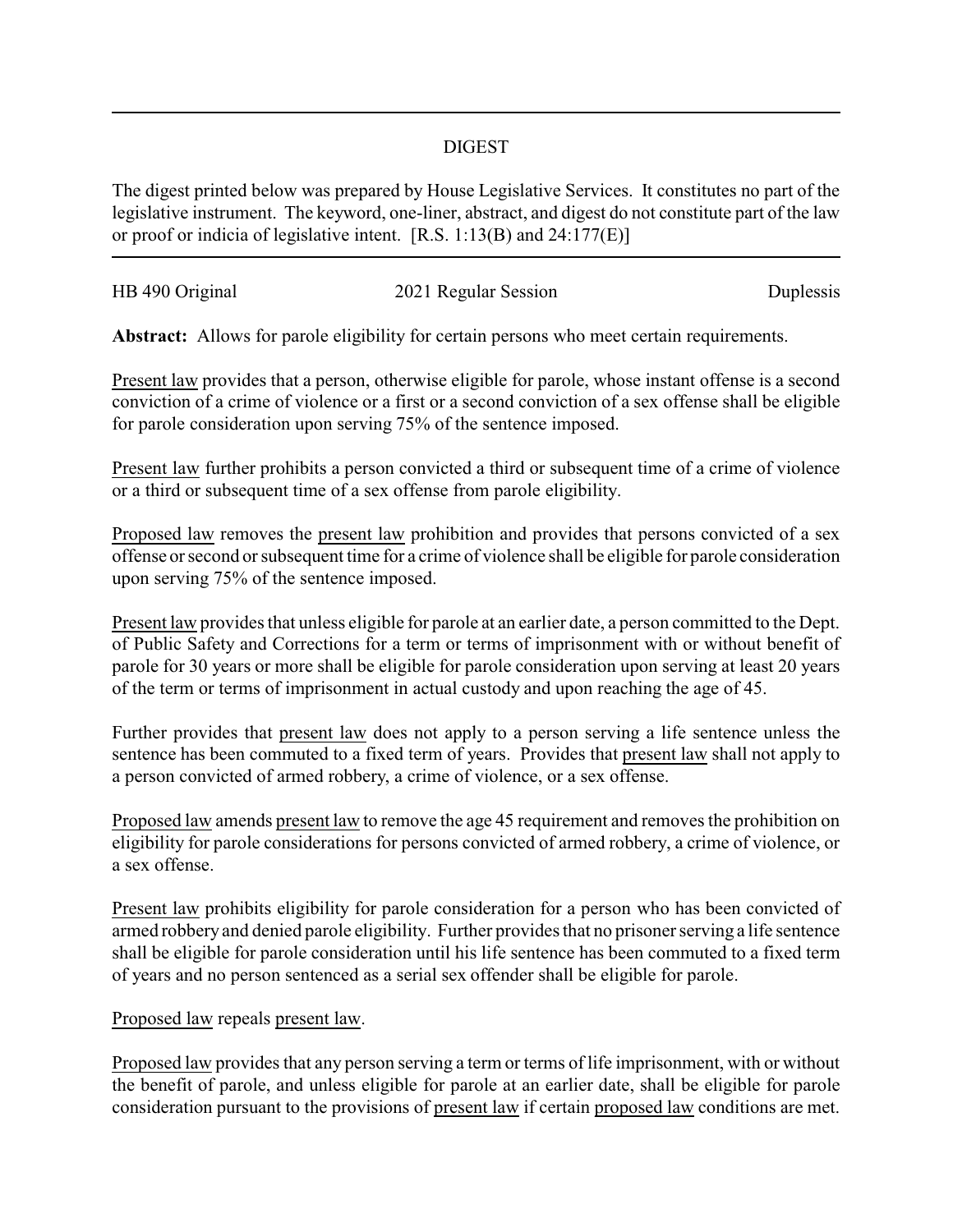## DIGEST

The digest printed below was prepared by House Legislative Services. It constitutes no part of the legislative instrument. The keyword, one-liner, abstract, and digest do not constitute part of the law or proof or indicia of legislative intent. [R.S. 1:13(B) and 24:177(E)]

| HB 490 Original |                      |           |
|-----------------|----------------------|-----------|
|                 | 2021 Regular Session | Duplessis |
|                 |                      |           |

Abstract: Allows for parole eligibility for certain persons who meet certain requirements.

Present law provides that a person, otherwise eligible for parole, whose instant offense is a second conviction of a crime of violence or a first or a second conviction of a sex offense shall be eligible for parole consideration upon serving 75% of the sentence imposed.

Present law further prohibits a person convicted a third or subsequent time of a crime of violence or a third or subsequent time of a sex offense from parole eligibility.

Proposed law removes the present law prohibition and provides that persons convicted of a sex offense or second or subsequent time for a crime of violence shall be eligible for parole consideration upon serving 75% of the sentence imposed.

Present law provides that unless eligible for parole at an earlier date, a person committed to the Dept. of Public Safety and Corrections for a term or terms of imprisonment with or without benefit of parole for 30 years or more shall be eligible for parole consideration upon serving at least 20 years of the term or terms of imprisonment in actual custody and upon reaching the age of 45.

Further provides that present law does not apply to a person serving a life sentence unless the sentence has been commuted to a fixed term of years. Provides that present law shall not apply to a person convicted of armed robbery, a crime of violence, or a sex offense.

Proposed law amends present law to remove the age 45 requirement and removes the prohibition on eligibility for parole considerations for persons convicted of armed robbery, a crime of violence, or a sex offense.

Present law prohibits eligibility for parole consideration for a person who has been convicted of armed robbery and denied parole eligibility. Further provides that no prisoner serving a life sentence shall be eligible for parole consideration until his life sentence has been commuted to a fixed term of years and no person sentenced as a serial sex offender shall be eligible for parole.

Proposed law repeals present law.

Proposed law provides that any person serving a term or terms of life imprisonment, with or without the benefit of parole, and unless eligible for parole at an earlier date, shall be eligible for parole consideration pursuant to the provisions of present law if certain proposed law conditions are met.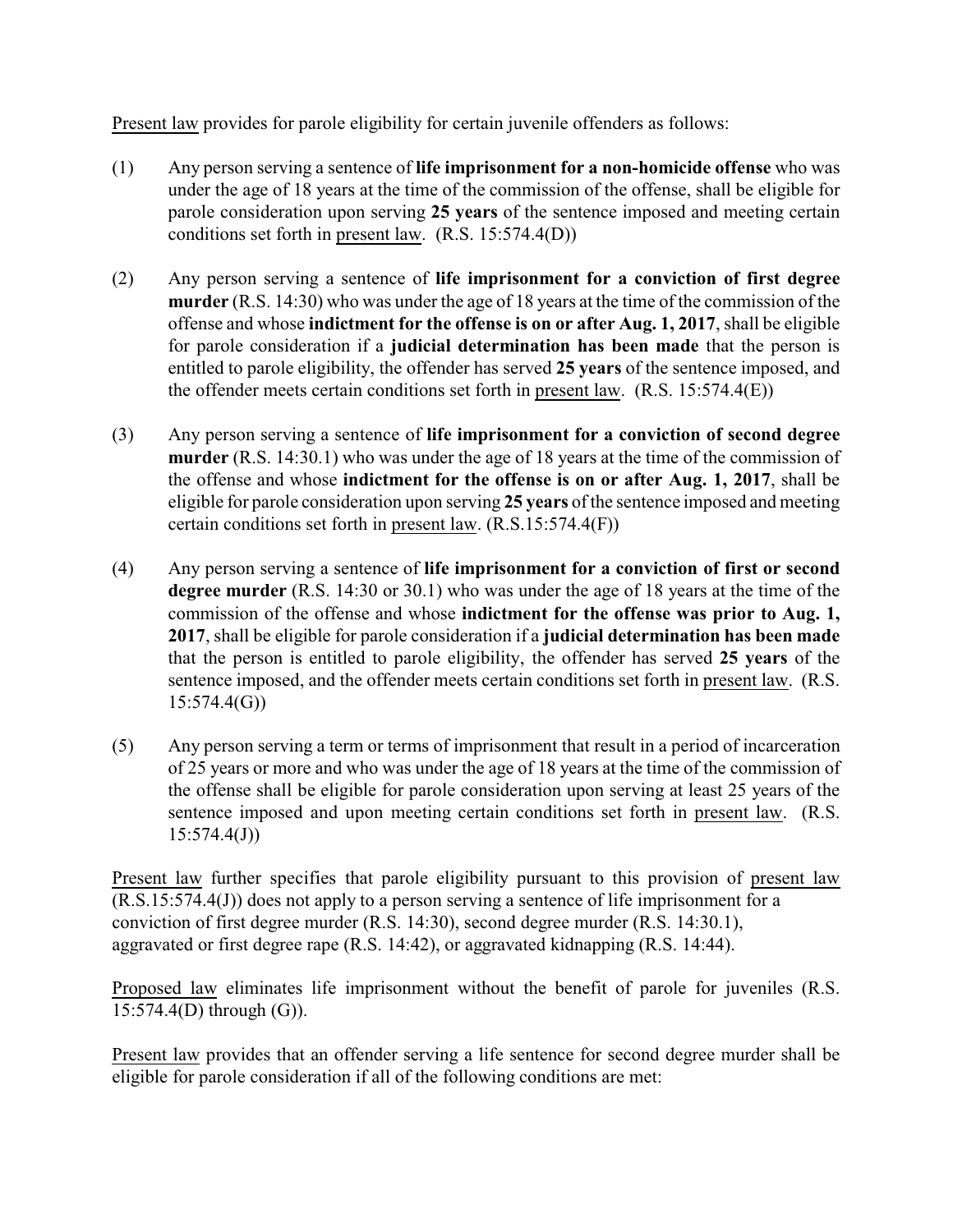Present law provides for parole eligibility for certain juvenile offenders as follows:

- (1) Any person serving a sentence of **life imprisonment for a non-homicide offense** who was under the age of 18 years at the time of the commission of the offense, shall be eligible for parole consideration upon serving **25 years** of the sentence imposed and meeting certain conditions set forth in present law. (R.S. 15:574.4(D))
- (2) Any person serving a sentence of **life imprisonment for a conviction of first degree murder** (R.S. 14:30) who was under the age of 18 years at the time of the commission of the offense and whose **indictment for the offense is on or after Aug. 1, 2017**, shall be eligible for parole consideration if a **judicial determination has been made** that the person is entitled to parole eligibility, the offender has served **25 years** of the sentence imposed, and the offender meets certain conditions set forth in present law. (R.S. 15:574.4(E))
- (3) Any person serving a sentence of **life imprisonment for a conviction of second degree murder** (R.S. 14:30.1) who was under the age of 18 years at the time of the commission of the offense and whose **indictment for the offense is on or after Aug. 1, 2017**, shall be eligible for parole consideration upon serving **25 years** of the sentence imposed and meeting certain conditions set forth in present law. (R.S.15:574.4(F))
- (4) Any person serving a sentence of **life imprisonment for a conviction of first or second degree murder** (R.S. 14:30 or 30.1) who was under the age of 18 years at the time of the commission of the offense and whose **indictment for the offense was prior to Aug. 1, 2017**, shall be eligible for parole consideration if a **judicial determination has been made** that the person is entitled to parole eligibility, the offender has served **25 years** of the sentence imposed, and the offender meets certain conditions set forth in present law. (R.S. 15:574.4(G))
- (5) Any person serving a term or terms of imprisonment that result in a period of incarceration of 25 years or more and who was under the age of 18 years at the time of the commission of the offense shall be eligible for parole consideration upon serving at least 25 years of the sentence imposed and upon meeting certain conditions set forth in present law. (R.S.  $15:574.4(J)$

Present law further specifies that parole eligibility pursuant to this provision of present law (R.S.15:574.4(J)) does not apply to a person serving a sentence of life imprisonment for a conviction of first degree murder (R.S. 14:30), second degree murder (R.S. 14:30.1), aggravated or first degree rape (R.S. 14:42), or aggravated kidnapping (R.S. 14:44).

Proposed law eliminates life imprisonment without the benefit of parole for juveniles (R.S. 15:574.4(D) through (G)).

Present law provides that an offender serving a life sentence for second degree murder shall be eligible for parole consideration if all of the following conditions are met: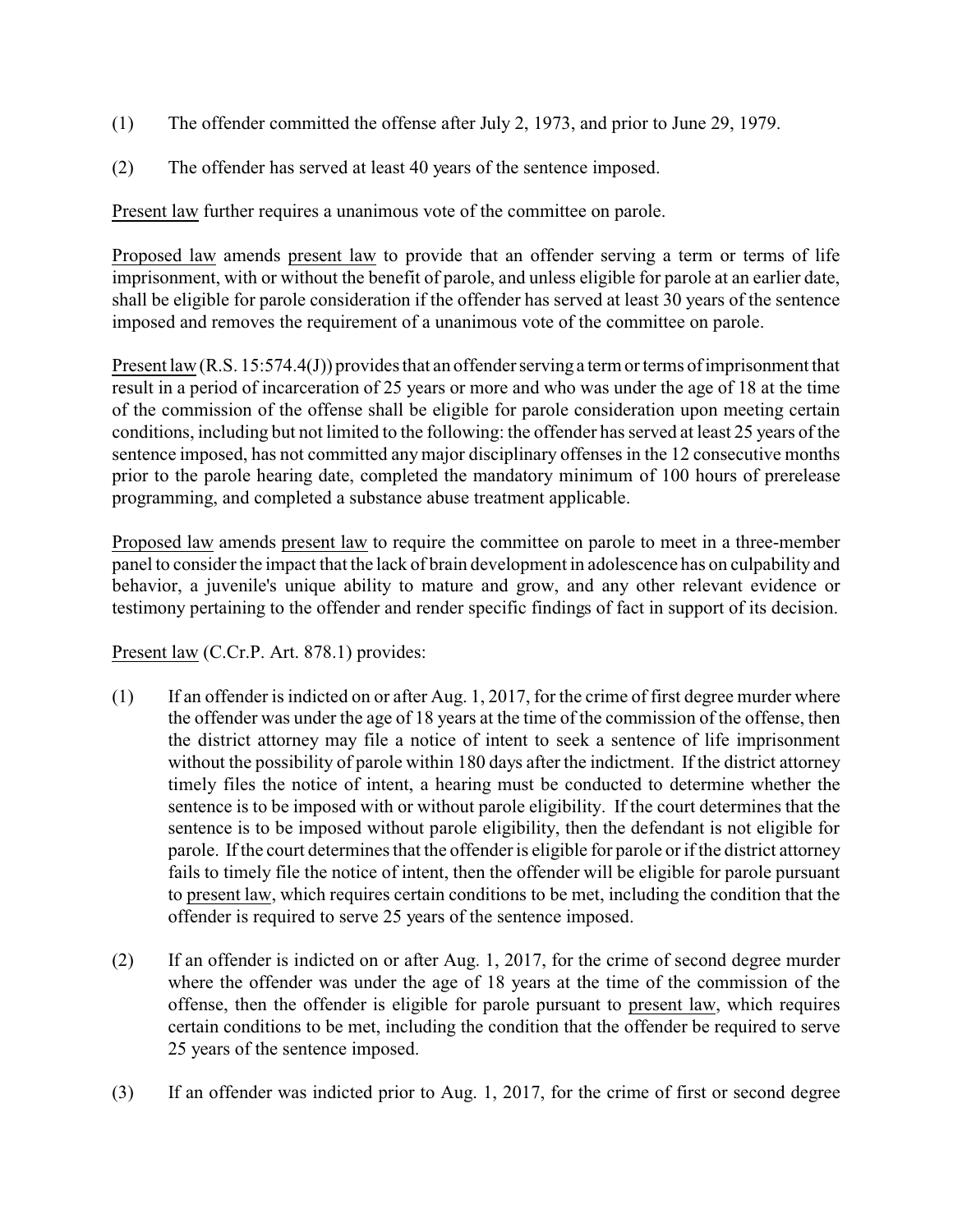- (1) The offender committed the offense after July 2, 1973, and prior to June 29, 1979.
- (2) The offender has served at least 40 years of the sentence imposed.

Present law further requires a unanimous vote of the committee on parole.

Proposed law amends present law to provide that an offender serving a term or terms of life imprisonment, with or without the benefit of parole, and unless eligible for parole at an earlier date, shall be eligible for parole consideration if the offender has served at least 30 years of the sentence imposed and removes the requirement of a unanimous vote of the committee on parole.

Present law (R.S. 15:574.4(J)) provides that an offender serving a term or terms of imprisonment that result in a period of incarceration of 25 years or more and who was under the age of 18 at the time of the commission of the offense shall be eligible for parole consideration upon meeting certain conditions, including but not limited to the following: the offender has served at least 25 years of the sentence imposed, has not committed any major disciplinary offenses in the 12 consecutive months prior to the parole hearing date, completed the mandatory minimum of 100 hours of prerelease programming, and completed a substance abuse treatment applicable.

Proposed law amends present law to require the committee on parole to meet in a three-member panel to consider the impact that the lack of brain development in adolescence has on culpability and behavior, a juvenile's unique ability to mature and grow, and any other relevant evidence or testimony pertaining to the offender and render specific findings of fact in support of its decision.

## Present law (C.Cr.P. Art. 878.1) provides:

- (1) If an offender is indicted on or after Aug. 1, 2017, for the crime of first degree murder where the offender was under the age of 18 years at the time of the commission of the offense, then the district attorney may file a notice of intent to seek a sentence of life imprisonment without the possibility of parole within 180 days after the indictment. If the district attorney timely files the notice of intent, a hearing must be conducted to determine whether the sentence is to be imposed with or without parole eligibility. If the court determines that the sentence is to be imposed without parole eligibility, then the defendant is not eligible for parole. If the court determines that the offender is eligible for parole or if the district attorney fails to timely file the notice of intent, then the offender will be eligible for parole pursuant to present law, which requires certain conditions to be met, including the condition that the offender is required to serve 25 years of the sentence imposed.
- (2) If an offender is indicted on or after Aug. 1, 2017, for the crime of second degree murder where the offender was under the age of 18 years at the time of the commission of the offense, then the offender is eligible for parole pursuant to present law, which requires certain conditions to be met, including the condition that the offender be required to serve 25 years of the sentence imposed.
- (3) If an offender was indicted prior to Aug. 1, 2017, for the crime of first or second degree